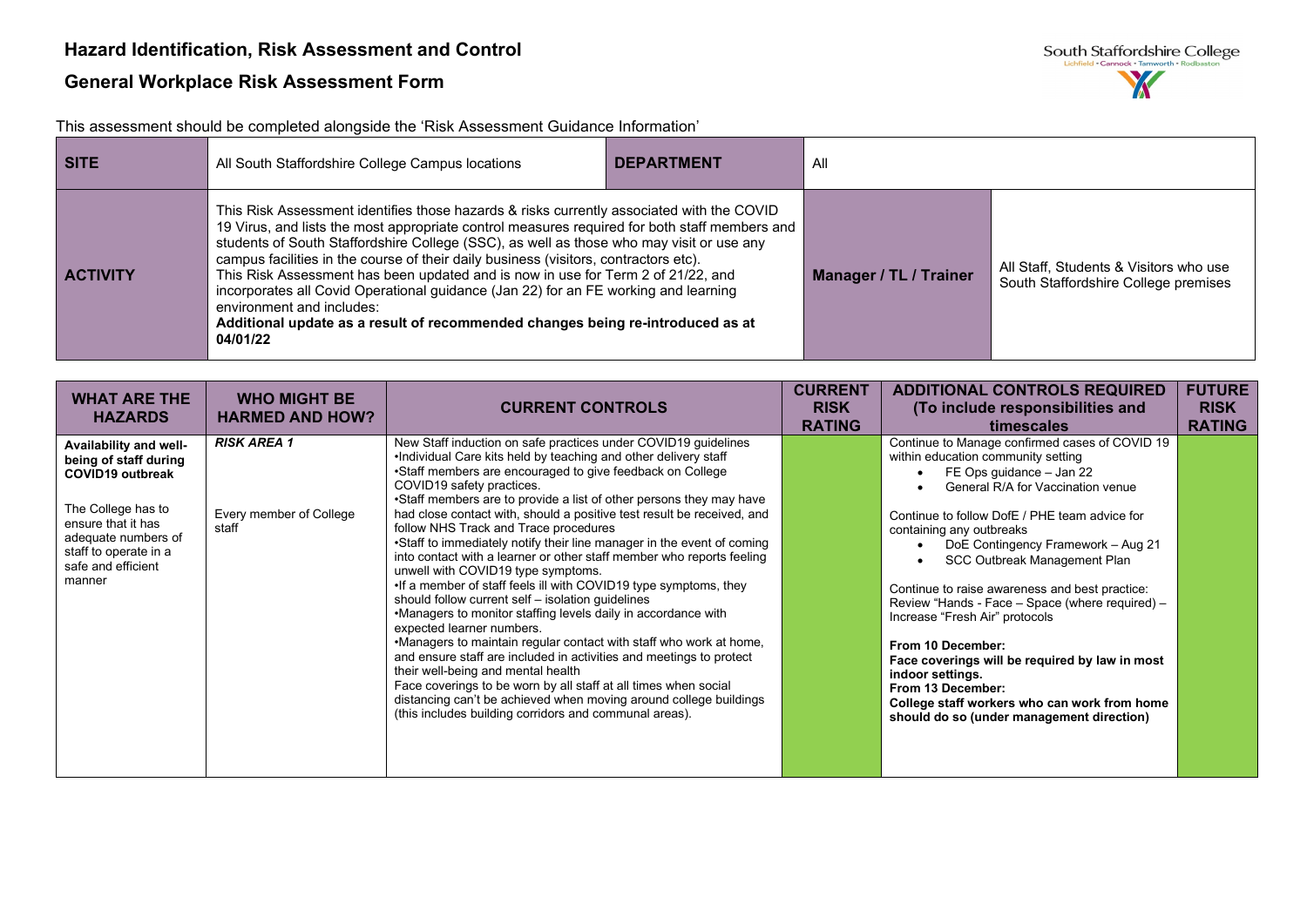This assessment should be completed alongside the 'Risk Assessment Guidance Information'

| <b>SITE</b>     | All South Staffordshire College Campus locations                                                                                                                                                                                                                                                                                                                                                                                                                                                                                                                                                                                                                                     | <b>DEPARTMENT</b> | All                    |                                                                                |
|-----------------|--------------------------------------------------------------------------------------------------------------------------------------------------------------------------------------------------------------------------------------------------------------------------------------------------------------------------------------------------------------------------------------------------------------------------------------------------------------------------------------------------------------------------------------------------------------------------------------------------------------------------------------------------------------------------------------|-------------------|------------------------|--------------------------------------------------------------------------------|
| <b>ACTIVITY</b> | This Risk Assessment identifies those hazards & risks currently associated with the COVID<br>19 Virus, and lists the most appropriate control measures required for both staff members and<br>students of South Staffordshire College (SSC), as well as those who may visit or use any<br>campus facilities in the course of their daily business (visitors, contractors etc).<br>This Risk Assessment has been updated and is now in use for Term 2 of 21/22, and<br>incorporates all Covid Operational guidance (Jan 22) for an FE working and learning<br>environment and includes:<br>Additional update as a result of recommended changes being re-introduced as at<br>04/01/22 |                   | Manager / TL / Trainer | All Staff, Students & Visitors who use<br>South Staffordshire College premises |

| <b>WHAT ARE THE</b><br><b>HAZARDS</b>                                                                                                                                                                  | <b>WHO MIGHT BE</b><br><b>HARMED AND HOW?</b>          | <b>CURRENT CONTROLS</b>                                                                                                                                                                                                                                                                                                                                                                                                                                                                                                                                                                                                                                                                                                                                                                                                                                                                                                                                                                                                                                                                                                                                                                                                    | <b>CURRENT</b><br><b>RISK</b><br><b>RATING</b> | <b>ADDITIONAL CONTROLS REQUIRED</b><br>(To include responsibilities and<br>timescales                                                                                                                                                                                                                                                                                                                                                                                                                                                                                                                                                                        | <b>FUTURE</b><br><b>RISK</b><br><b>RATING</b> |
|--------------------------------------------------------------------------------------------------------------------------------------------------------------------------------------------------------|--------------------------------------------------------|----------------------------------------------------------------------------------------------------------------------------------------------------------------------------------------------------------------------------------------------------------------------------------------------------------------------------------------------------------------------------------------------------------------------------------------------------------------------------------------------------------------------------------------------------------------------------------------------------------------------------------------------------------------------------------------------------------------------------------------------------------------------------------------------------------------------------------------------------------------------------------------------------------------------------------------------------------------------------------------------------------------------------------------------------------------------------------------------------------------------------------------------------------------------------------------------------------------------------|------------------------------------------------|--------------------------------------------------------------------------------------------------------------------------------------------------------------------------------------------------------------------------------------------------------------------------------------------------------------------------------------------------------------------------------------------------------------------------------------------------------------------------------------------------------------------------------------------------------------------------------------------------------------------------------------------------------------|-----------------------------------------------|
| Availability and well-<br>being of staff during<br><b>COVID19 outbreak</b><br>The College has to<br>ensure that it has<br>adequate numbers of<br>staff to operate in a<br>safe and efficient<br>manner | <b>RISK AREA 1</b><br>Every member of College<br>staff | New Staff induction on safe practices under COVID19 guidelines<br>.Individual Care kits held by teaching and other delivery staff<br>•Staff members are encouraged to give feedback on College<br>COVID19 safety practices.<br>•Staff members are to provide a list of other persons they may have<br>had close contact with, should a positive test result be received, and<br>follow NHS Track and Trace procedures<br>•Staff to immediately notify their line manager in the event of coming<br>into contact with a learner or other staff member who reports feeling<br>unwell with COVID19 type symptoms.<br>•If a member of staff feels ill with COVID19 type symptoms, they<br>should follow current self - isolation quidelines<br>•Managers to monitor staffing levels daily in accordance with<br>expected learner numbers.<br>.Managers to maintain regular contact with staff who work at home,<br>and ensure staff are included in activities and meetings to protect<br>their well-being and mental health<br>Face coverings to be worn by all staff at all times when social<br>distancing can't be achieved when moving around college buildings<br>(this includes building corridors and communal areas). |                                                | Continue to Manage confirmed cases of COVID 19<br>within education community setting<br>FE Ops guidance - Jan 22<br>General R/A for Vaccination venue<br>Continue to follow DofE / PHE team advice for<br>containing any outbreaks<br>DoE Contingency Framework - Aug 21<br>SCC Outbreak Management Plan<br>Continue to raise awareness and best practice:<br>Review "Hands - Face - Space (where required) -<br>Increase "Fresh Air" protocols<br>From 10 December:<br>Face coverings will be required by law in most<br>indoor settings.<br>From 13 December:<br>College staff workers who can work from home<br>should do so (under management direction) |                                               |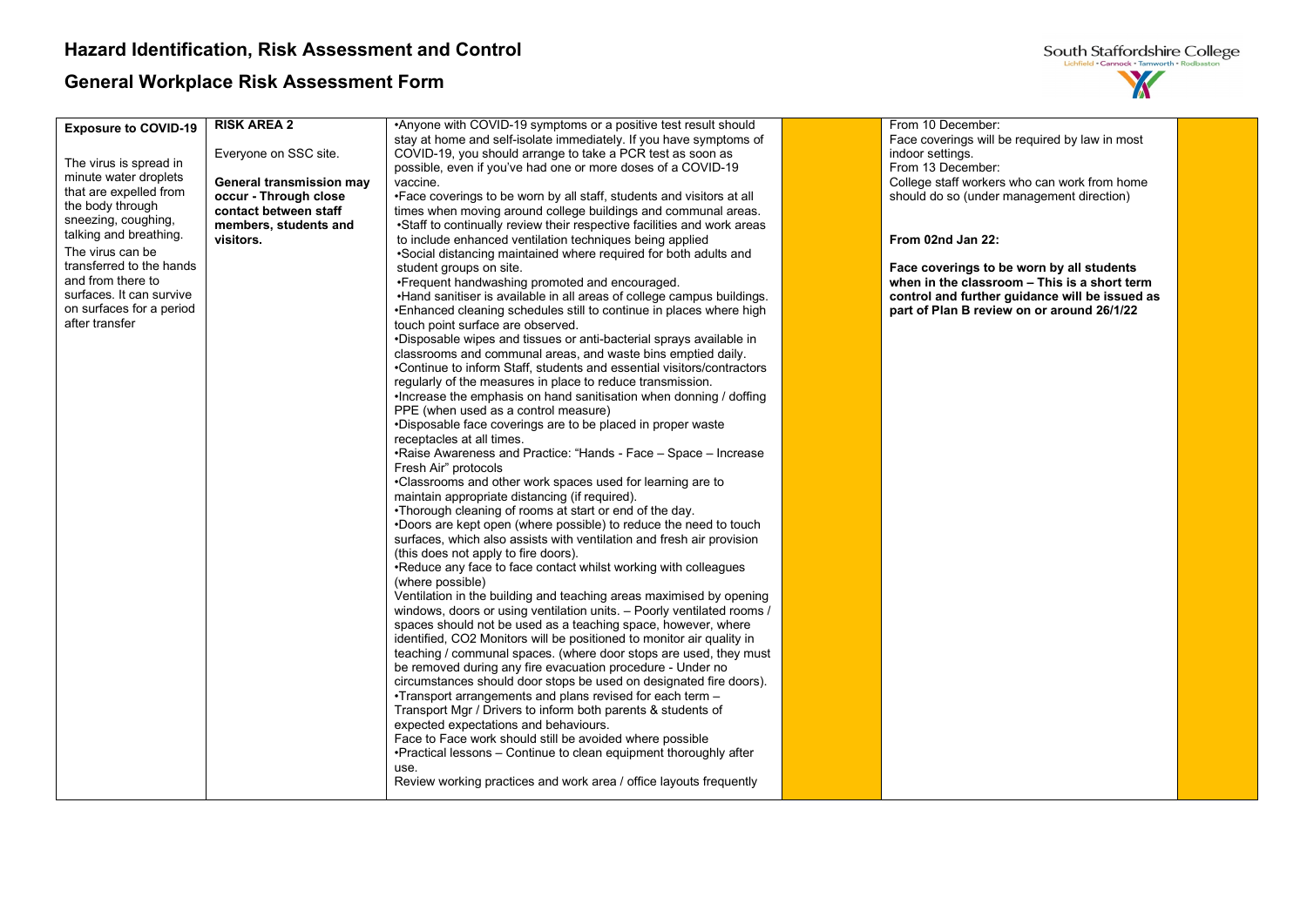

| <b>Exposure to COVID-19</b>                     | <b>RISK AREA 2</b>       | •Anyone with COVID-19 symptoms or a positive test result should                              | From 10 December:                              |  |
|-------------------------------------------------|--------------------------|----------------------------------------------------------------------------------------------|------------------------------------------------|--|
|                                                 |                          | stay at home and self-isolate immediately. If you have symptoms of                           | Face coverings will be required by law in most |  |
|                                                 | Everyone on SSC site.    | COVID-19, you should arrange to take a PCR test as soon as                                   | indoor settings.                               |  |
| The virus is spread in<br>minute water droplets |                          | possible, even if you've had one or more doses of a COVID-19                                 | From 13 December:                              |  |
| that are expelled from                          | General transmission may | vaccine.                                                                                     | College staff workers who can work from home   |  |
|                                                 | occur - Through close    | •Face coverings to be worn by all staff, students and visitors at all                        | should do so (under management direction)      |  |
| the body through<br>sneezing, coughing,         | contact between staff    | times when moving around college buildings and communal areas.                               |                                                |  |
| talking and breathing.                          | members, students and    | •Staff to continually review their respective facilities and work areas                      |                                                |  |
|                                                 | visitors.                | to include enhanced ventilation techniques being applied                                     | From 02nd Jan 22:                              |  |
| The virus can be                                |                          | •Social distancing maintained where required for both adults and                             |                                                |  |
| transferred to the hands                        |                          | student groups on site.                                                                      | Face coverings to be worn by all students      |  |
| and from there to                               |                          | •Frequent handwashing promoted and encouraged.                                               | when in the classroom - This is a short term   |  |
| surfaces. It can survive                        |                          | . Hand sanitiser is available in all areas of college campus buildings.                      | control and further guidance will be issued as |  |
| on surfaces for a period                        |                          | •Enhanced cleaning schedules still to continue in places where high                          | part of Plan B review on or around 26/1/22     |  |
| after transfer                                  |                          | touch point surface are observed.                                                            |                                                |  |
|                                                 |                          | •Disposable wipes and tissues or anti-bacterial sprays available in                          |                                                |  |
|                                                 |                          | classrooms and communal areas, and waste bins emptied daily.                                 |                                                |  |
|                                                 |                          | •Continue to inform Staff, students and essential visitors/contractors                       |                                                |  |
|                                                 |                          | regularly of the measures in place to reduce transmission.                                   |                                                |  |
|                                                 |                          | . Increase the emphasis on hand sanitisation when donning / doffing                          |                                                |  |
|                                                 |                          | PPE (when used as a control measure)                                                         |                                                |  |
|                                                 |                          | •Disposable face coverings are to be placed in proper waste                                  |                                                |  |
|                                                 |                          | receptacles at all times.<br>•Raise Awareness and Practice: "Hands - Face - Space - Increase |                                                |  |
|                                                 |                          | Fresh Air" protocols                                                                         |                                                |  |
|                                                 |                          | •Classrooms and other work spaces used for learning are to                                   |                                                |  |
|                                                 |                          | maintain appropriate distancing (if required).                                               |                                                |  |
|                                                 |                          | •Thorough cleaning of rooms at start or end of the day.                                      |                                                |  |
|                                                 |                          | .Doors are kept open (where possible) to reduce the need to touch                            |                                                |  |
|                                                 |                          | surfaces, which also assists with ventilation and fresh air provision                        |                                                |  |
|                                                 |                          | (this does not apply to fire doors).                                                         |                                                |  |
|                                                 |                          | .Reduce any face to face contact whilst working with colleagues                              |                                                |  |
|                                                 |                          | (where possible)                                                                             |                                                |  |
|                                                 |                          | Ventilation in the building and teaching areas maximised by opening                          |                                                |  |
|                                                 |                          | windows, doors or using ventilation units. - Poorly ventilated rooms /                       |                                                |  |
|                                                 |                          | spaces should not be used as a teaching space, however, where                                |                                                |  |
|                                                 |                          | identified, CO2 Monitors will be positioned to monitor air quality in                        |                                                |  |
|                                                 |                          | teaching / communal spaces. (where door stops are used, they must                            |                                                |  |
|                                                 |                          | be removed during any fire evacuation procedure - Under no                                   |                                                |  |
|                                                 |                          | circumstances should door stops be used on designated fire doors).                           |                                                |  |
|                                                 |                          | •Transport arrangements and plans revised for each term -                                    |                                                |  |
|                                                 |                          | Transport Mgr / Drivers to inform both parents & students of                                 |                                                |  |
|                                                 |                          | expected expectations and behaviours.                                                        |                                                |  |
|                                                 |                          | Face to Face work should still be avoided where possible                                     |                                                |  |
|                                                 |                          | •Practical lessons – Continue to clean equipment thoroughly after                            |                                                |  |
|                                                 |                          | use.                                                                                         |                                                |  |
|                                                 |                          | Review working practices and work area / office layouts frequently                           |                                                |  |
|                                                 |                          |                                                                                              |                                                |  |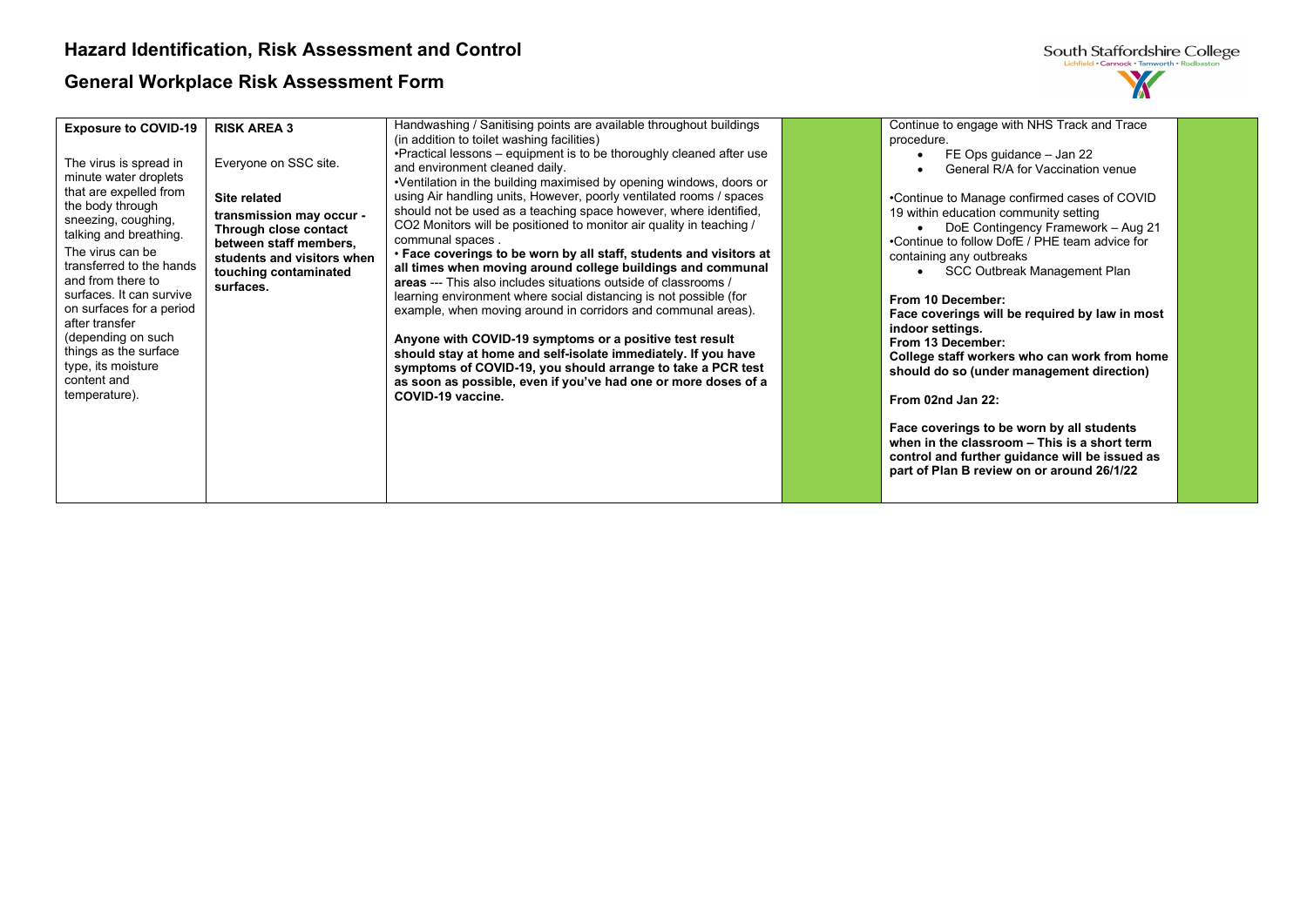

| <b>Exposure to COVID-19</b><br>The virus is spread in<br>minute water droplets<br>that are expelled from<br>the body through<br>sneezing, coughing,<br>talking and breathing.<br>The virus can be<br>transferred to the hands<br>and from there to<br>surfaces. It can survive<br>on surfaces for a period<br>after transfer<br>(depending on such<br>things as the surface<br>type, its moisture<br>content and | <b>RISK AREA 3</b><br>Everyone on SSC site.<br><b>Site related</b><br>transmission may occur -<br>Through close contact<br>between staff members,<br>students and visitors when<br>touching contaminated<br>surfaces. | Handwashing / Sanitising points are available throughout buildings<br>(in addition to toilet washing facilities)<br>•Practical lessons – equipment is to be thoroughly cleaned after use<br>and environment cleaned daily.<br>•Ventilation in the building maximised by opening windows, doors or<br>using Air handling units, However, poorly ventilated rooms / spaces<br>should not be used as a teaching space however, where identified,<br>CO2 Monitors will be positioned to monitor air quality in teaching /<br>communal spaces.<br>. Face coverings to be worn by all staff, students and visitors at<br>all times when moving around college buildings and communal<br>areas --- This also includes situations outside of classrooms /<br>learning environment where social distancing is not possible (for<br>example, when moving around in corridors and communal areas).<br>Anyone with COVID-19 symptoms or a positive test result<br>should stay at home and self-isolate immediately. If you have<br>symptoms of COVID-19, you should arrange to take a PCR test<br>as soon as possible, even if you've had one or more doses of a | Continue to engage with NHS Track and Trace<br>procedure.<br>FE Ops guidance - Jan 22<br>General R/A for Vaccination venue<br>•Continue to Manage confirmed cases of COVID<br>19 within education community setting<br>DoE Contingency Framework - Aug 21<br>•Continue to follow DofE / PHE team advice for<br>containing any outbreaks<br>SCC Outbreak Management Plan<br>From 10 December:<br>Face coverings will be required by law in most<br>indoor settings.<br>From 13 December:<br>College staff workers who can work from home<br>should do so (under management direction) |
|------------------------------------------------------------------------------------------------------------------------------------------------------------------------------------------------------------------------------------------------------------------------------------------------------------------------------------------------------------------------------------------------------------------|-----------------------------------------------------------------------------------------------------------------------------------------------------------------------------------------------------------------------|------------------------------------------------------------------------------------------------------------------------------------------------------------------------------------------------------------------------------------------------------------------------------------------------------------------------------------------------------------------------------------------------------------------------------------------------------------------------------------------------------------------------------------------------------------------------------------------------------------------------------------------------------------------------------------------------------------------------------------------------------------------------------------------------------------------------------------------------------------------------------------------------------------------------------------------------------------------------------------------------------------------------------------------------------------------------------------------------------------------------------------------------------|--------------------------------------------------------------------------------------------------------------------------------------------------------------------------------------------------------------------------------------------------------------------------------------------------------------------------------------------------------------------------------------------------------------------------------------------------------------------------------------------------------------------------------------------------------------------------------------|
| temperature).                                                                                                                                                                                                                                                                                                                                                                                                    |                                                                                                                                                                                                                       | COVID-19 vaccine.                                                                                                                                                                                                                                                                                                                                                                                                                                                                                                                                                                                                                                                                                                                                                                                                                                                                                                                                                                                                                                                                                                                                    | From 02nd Jan 22:<br>Face coverings to be worn by all students<br>when in the classroom - This is a short term<br>control and further guidance will be issued as<br>part of Plan B review on or around 26/1/22                                                                                                                                                                                                                                                                                                                                                                       |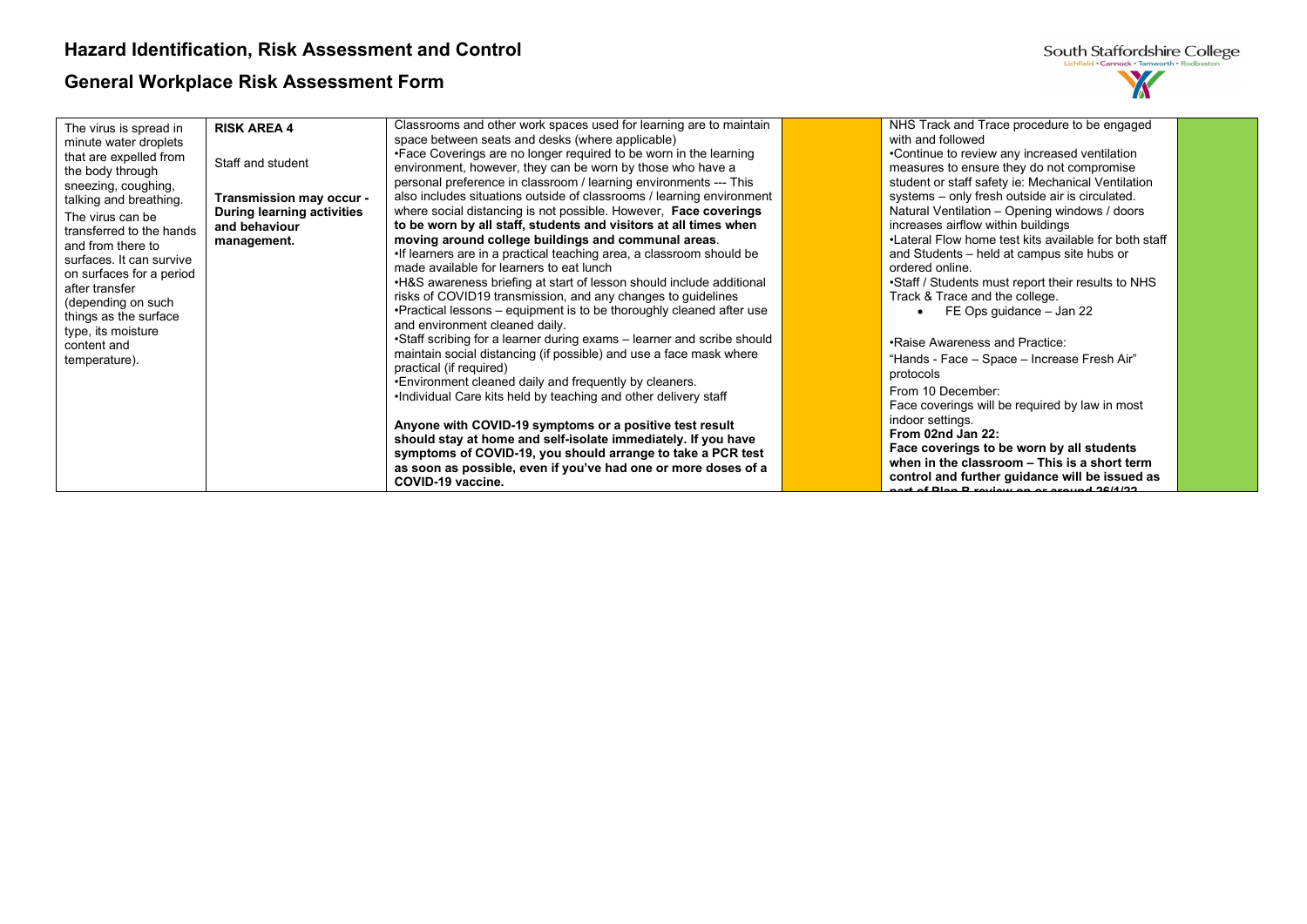| South Staffordshire College                |
|--------------------------------------------|
| Lichfield . Cannock . Tamworth . Rodbaston |
|                                            |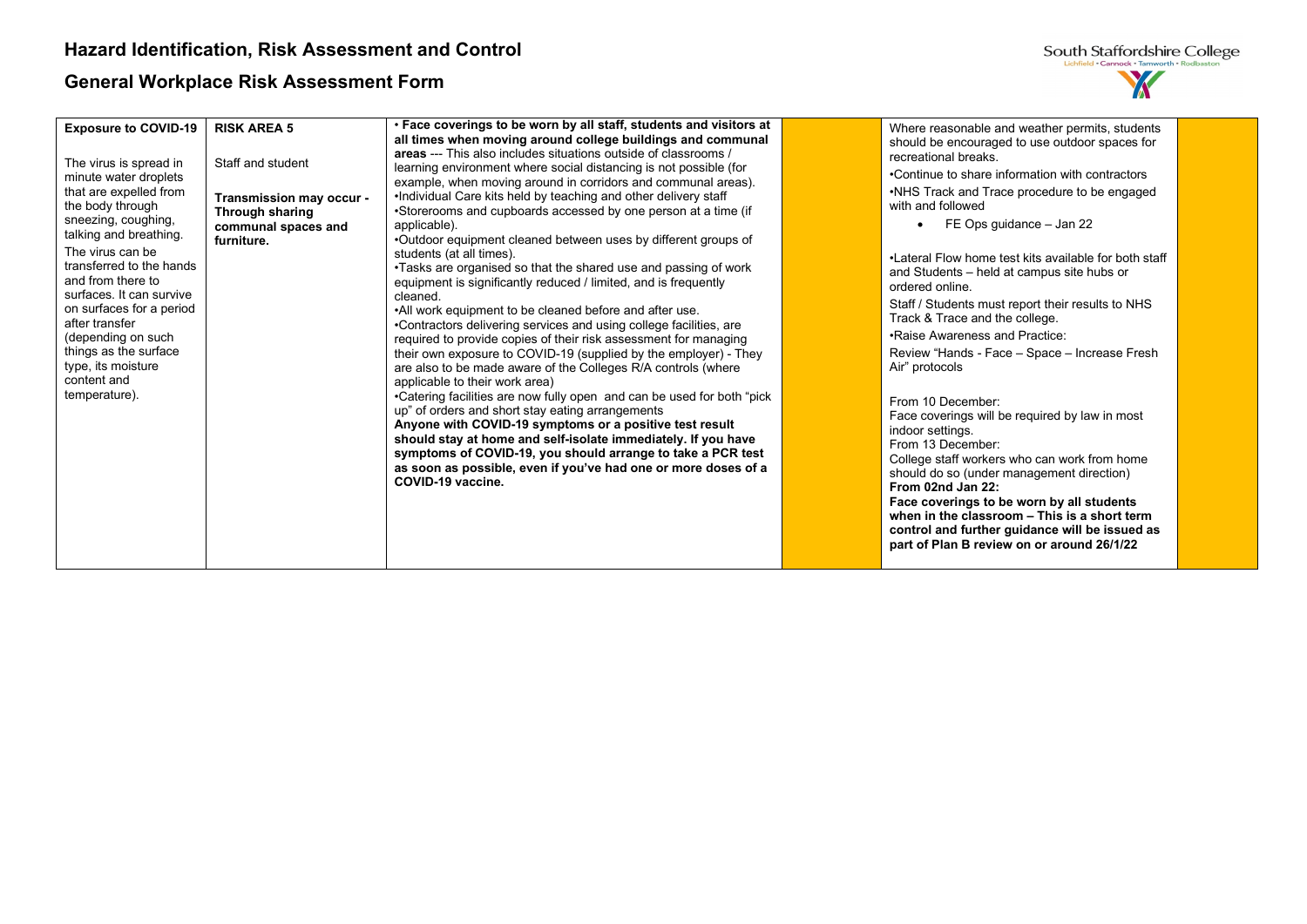

| <b>Exposure to COVID-19</b><br>The virus is spread in<br>minute water droplets<br>that are expelled from<br>the body through<br>sneezing, coughing,<br>talking and breathing.<br>The virus can be<br>transferred to the hands<br>and from there to<br>surfaces. It can survive<br>on surfaces for a period<br>after transfer<br>(depending on such<br>things as the surface<br>type, its moisture<br>content and<br>temperature). | <b>RISK AREA 5</b><br>Staff and student<br>Transmission may occur -<br>Through sharing<br>communal spaces and<br>furniture. | . Face coverings to be worn by all staff, students and visitors at<br>all times when moving around college buildings and communal<br>areas --- This also includes situations outside of classrooms /<br>learning environment where social distancing is not possible (for<br>example, when moving around in corridors and communal areas).<br>. Individual Care kits held by teaching and other delivery staff<br>•Storerooms and cupboards accessed by one person at a time (if<br>applicable).<br>.Outdoor equipment cleaned between uses by different groups of<br>students (at all times).<br>•Tasks are organised so that the shared use and passing of work<br>equipment is significantly reduced / limited, and is frequently<br>cleaned.<br>.All work equipment to be cleaned before and after use.<br>•Contractors delivering services and using college facilities, are<br>required to provide copies of their risk assessment for managing<br>their own exposure to COVID-19 (supplied by the employer) - They<br>are also to be made aware of the Colleges R/A controls (where<br>applicable to their work area)<br>•Catering facilities are now fully open and can be used for both "pick<br>up" of orders and short stay eating arrangements<br>Anyone with COVID-19 symptoms or a positive test result<br>should stay at home and self-isolate immediately. If you have<br>symptoms of COVID-19, you should arrange to take a PCR test<br>as soon as possible, even if you've had one or more doses of a<br>COVID-19 vaccine. | Where reasonable and weather permits, students<br>should be encouraged to use outdoor spaces for<br>recreational breaks.<br>•Continue to share information with contractors<br>•NHS Track and Trace procedure to be engaged<br>with and followed<br>FE Ops guidance - Jan 22<br>•Lateral Flow home test kits available for both staff<br>and Students – held at campus site hubs or<br>ordered online.<br>Staff / Students must report their results to NHS<br>Track & Trace and the college.<br>.Raise Awareness and Practice:<br>Review "Hands - Face - Space - Increase Fresh<br>Air" protocols<br>From 10 December:<br>Face coverings will be required by law in most<br>indoor settings.<br>From 13 December:<br>College staff workers who can work from home<br>should do so (under management direction)<br>From 02nd Jan 22: |  |
|-----------------------------------------------------------------------------------------------------------------------------------------------------------------------------------------------------------------------------------------------------------------------------------------------------------------------------------------------------------------------------------------------------------------------------------|-----------------------------------------------------------------------------------------------------------------------------|----------------------------------------------------------------------------------------------------------------------------------------------------------------------------------------------------------------------------------------------------------------------------------------------------------------------------------------------------------------------------------------------------------------------------------------------------------------------------------------------------------------------------------------------------------------------------------------------------------------------------------------------------------------------------------------------------------------------------------------------------------------------------------------------------------------------------------------------------------------------------------------------------------------------------------------------------------------------------------------------------------------------------------------------------------------------------------------------------------------------------------------------------------------------------------------------------------------------------------------------------------------------------------------------------------------------------------------------------------------------------------------------------------------------------------------------------------------------------------------------------------------------------------------------|--------------------------------------------------------------------------------------------------------------------------------------------------------------------------------------------------------------------------------------------------------------------------------------------------------------------------------------------------------------------------------------------------------------------------------------------------------------------------------------------------------------------------------------------------------------------------------------------------------------------------------------------------------------------------------------------------------------------------------------------------------------------------------------------------------------------------------------|--|
|                                                                                                                                                                                                                                                                                                                                                                                                                                   |                                                                                                                             |                                                                                                                                                                                                                                                                                                                                                                                                                                                                                                                                                                                                                                                                                                                                                                                                                                                                                                                                                                                                                                                                                                                                                                                                                                                                                                                                                                                                                                                                                                                                              | Face coverings to be worn by all students<br>when in the classroom - This is a short term<br>control and further guidance will be issued as<br>part of Plan B review on or around 26/1/22                                                                                                                                                                                                                                                                                                                                                                                                                                                                                                                                                                                                                                            |  |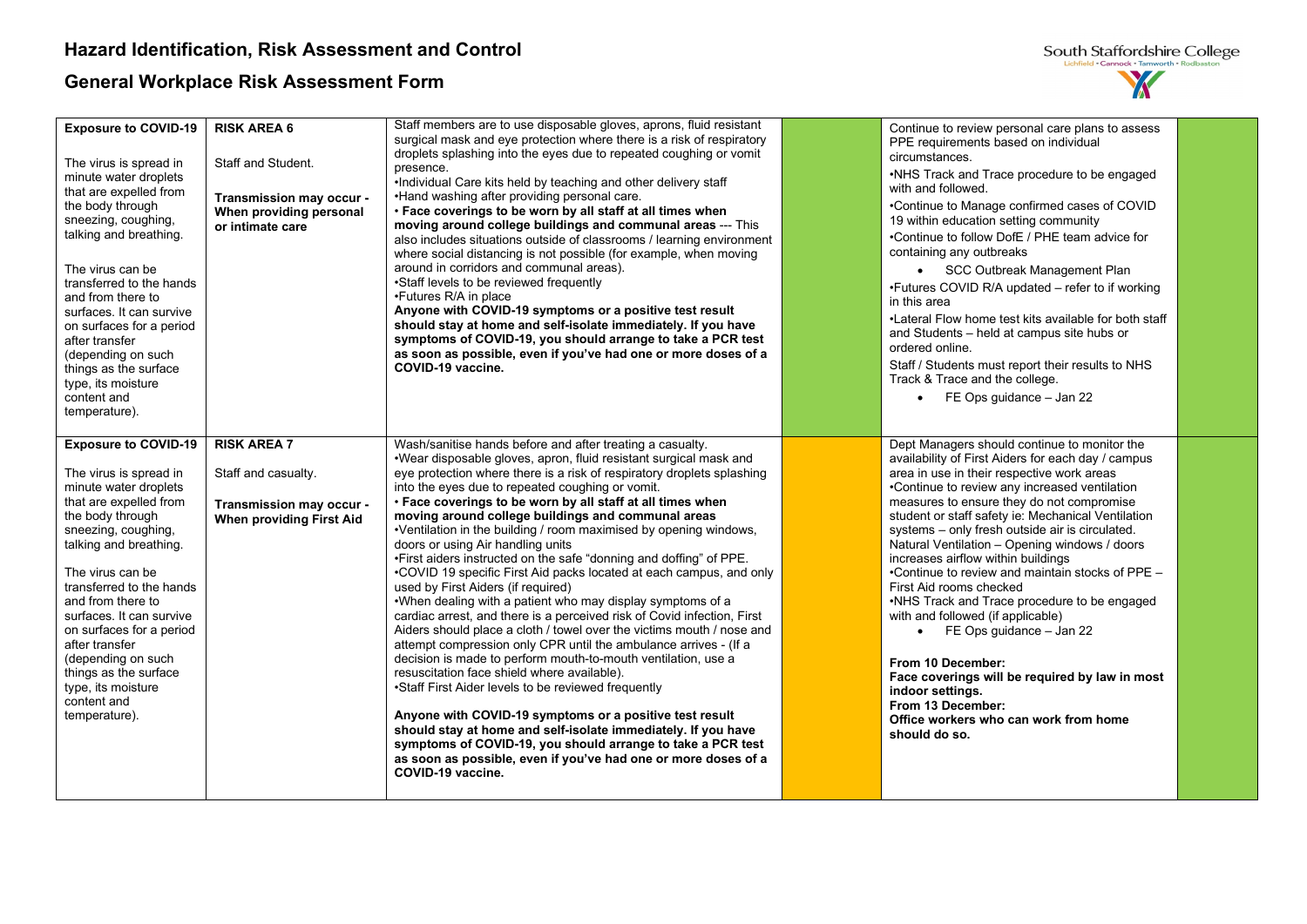

| <b>Exposure to COVID-19</b><br>The virus is spread in<br>minute water droplets<br>that are expelled from<br>the body through<br>sneezing, coughing,<br>talking and breathing.<br>The virus can be<br>transferred to the hands<br>and from there to<br>surfaces. It can survive<br>on surfaces for a period<br>after transfer<br>(depending on such<br>things as the surface<br>type, its moisture<br>content and<br>temperature). | <b>RISK AREA 6</b><br>Staff and Student.<br>Transmission may occur -<br>When providing personal<br>or intimate care | Staff members are to use disposable gloves, aprons, fluid resistant<br>surgical mask and eye protection where there is a risk of respiratory<br>droplets splashing into the eyes due to repeated coughing or vomit<br>presence.<br>.Individual Care kits held by teaching and other delivery staff<br>•Hand washing after providing personal care.<br>. Face coverings to be worn by all staff at all times when<br>moving around college buildings and communal areas --- This<br>also includes situations outside of classrooms / learning environment<br>where social distancing is not possible (for example, when moving<br>around in corridors and communal areas).<br>•Staff levels to be reviewed frequently<br>•Futures R/A in place<br>Anyone with COVID-19 symptoms or a positive test result<br>should stay at home and self-isolate immediately. If you have<br>symptoms of COVID-19, you should arrange to take a PCR test<br>as soon as possible, even if you've had one or more doses of a<br>COVID-19 vaccine.                                                                                                                                                                                                                                                                                                                                                                                               | Continue to review personal care plans to assess<br>PPE requirements based on individual<br>circumstances.<br>•NHS Track and Trace procedure to be engaged<br>with and followed.<br>•Continue to Manage confirmed cases of COVID<br>19 within education setting community<br>•Continue to follow DofE / PHE team advice for<br>containing any outbreaks<br>• SCC Outbreak Management Plan<br>•Futures COVID R/A updated - refer to if working<br>in this area<br>•Lateral Flow home test kits available for both staff<br>and Students - held at campus site hubs or<br>ordered online.<br>Staff / Students must report their results to NHS<br>Track & Trace and the college.<br>$\bullet$ FE Ops guidance - Jan 22                                                                                                               |  |
|-----------------------------------------------------------------------------------------------------------------------------------------------------------------------------------------------------------------------------------------------------------------------------------------------------------------------------------------------------------------------------------------------------------------------------------|---------------------------------------------------------------------------------------------------------------------|-------------------------------------------------------------------------------------------------------------------------------------------------------------------------------------------------------------------------------------------------------------------------------------------------------------------------------------------------------------------------------------------------------------------------------------------------------------------------------------------------------------------------------------------------------------------------------------------------------------------------------------------------------------------------------------------------------------------------------------------------------------------------------------------------------------------------------------------------------------------------------------------------------------------------------------------------------------------------------------------------------------------------------------------------------------------------------------------------------------------------------------------------------------------------------------------------------------------------------------------------------------------------------------------------------------------------------------------------------------------------------------------------------------------------------|------------------------------------------------------------------------------------------------------------------------------------------------------------------------------------------------------------------------------------------------------------------------------------------------------------------------------------------------------------------------------------------------------------------------------------------------------------------------------------------------------------------------------------------------------------------------------------------------------------------------------------------------------------------------------------------------------------------------------------------------------------------------------------------------------------------------------------|--|
| <b>Exposure to COVID-19</b><br>The virus is spread in<br>minute water droplets<br>that are expelled from<br>the body through<br>sneezing, coughing,<br>talking and breathing.<br>The virus can be<br>transferred to the hands<br>and from there to<br>surfaces. It can survive<br>on surfaces for a period<br>after transfer<br>(depending on such<br>things as the surface<br>type, its moisture<br>content and<br>temperature). | <b>RISK AREA 7</b><br>Staff and casualty.<br>Transmission may occur -<br>When providing First Aid                   | Wash/sanitise hands before and after treating a casualty.<br>.Wear disposable gloves, apron, fluid resistant surgical mask and<br>eye protection where there is a risk of respiratory droplets splashing<br>into the eyes due to repeated coughing or vomit.<br>. Face coverings to be worn by all staff at all times when<br>moving around college buildings and communal areas<br>•Ventilation in the building / room maximised by opening windows,<br>doors or using Air handling units<br>. First aiders instructed on the safe "donning and doffing" of PPE.<br>•COVID 19 specific First Aid packs located at each campus, and only<br>used by First Aiders (if required)<br>.When dealing with a patient who may display symptoms of a<br>cardiac arrest, and there is a perceived risk of Covid infection, First<br>Aiders should place a cloth / towel over the victims mouth / nose and<br>attempt compression only CPR until the ambulance arrives - (If a<br>decision is made to perform mouth-to-mouth ventilation, use a<br>resuscitation face shield where available).<br>•Staff First Aider levels to be reviewed frequently<br>Anyone with COVID-19 symptoms or a positive test result<br>should stay at home and self-isolate immediately. If you have<br>symptoms of COVID-19, you should arrange to take a PCR test<br>as soon as possible, even if you've had one or more doses of a<br>COVID-19 vaccine. | Dept Managers should continue to monitor the<br>availability of First Aiders for each day / campus<br>area in use in their respective work areas<br>•Continue to review any increased ventilation<br>measures to ensure they do not compromise<br>student or staff safety ie: Mechanical Ventilation<br>systems - only fresh outside air is circulated.<br>Natural Ventilation - Opening windows / doors<br>increases airflow within buildings<br>•Continue to review and maintain stocks of PPE -<br>First Aid rooms checked<br>•NHS Track and Trace procedure to be engaged<br>with and followed (if applicable)<br>$\bullet$ FE Ops guidance - Jan 22<br>From 10 December:<br>Face coverings will be required by law in most<br>indoor settings.<br>From 13 December:<br>Office workers who can work from home<br>should do so. |  |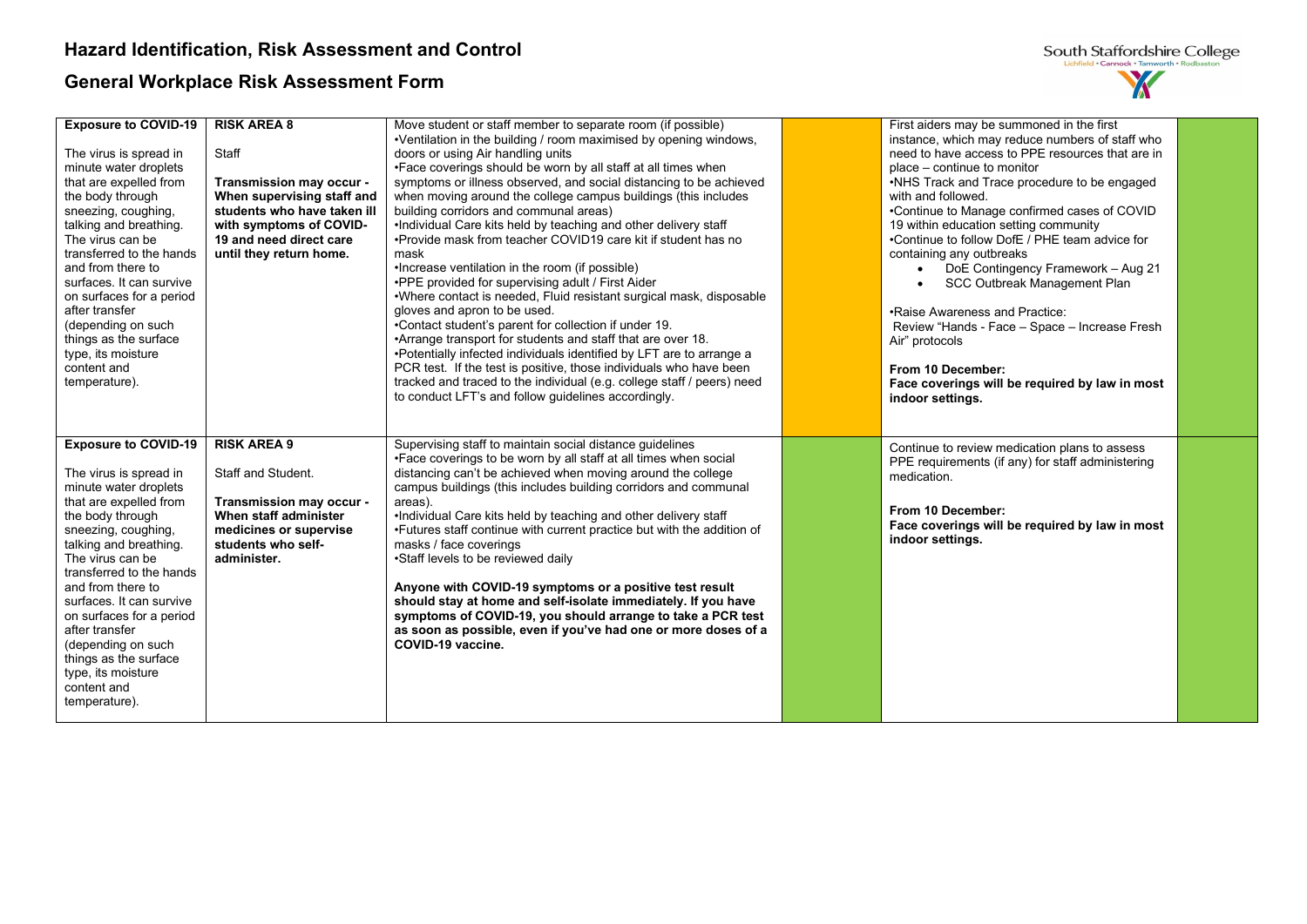

| <b>Exposure to COVID-19</b><br>The virus is spread in<br>minute water droplets<br>that are expelled from<br>the body through<br>sneezing, coughing,<br>talking and breathing.<br>The virus can be<br>transferred to the hands<br>and from there to<br>surfaces. It can survive<br>on surfaces for a period<br>after transfer<br>(depending on such<br>things as the surface<br>type, its moisture<br>content and<br>temperature). | <b>RISK AREA 8</b><br>Staff<br>Transmission may occur -<br>When supervising staff and<br>students who have taken ill<br>with symptoms of COVID-<br>19 and need direct care<br>until they return home. | Move student or staff member to separate room (if possible)<br>•Ventilation in the building / room maximised by opening windows,<br>doors or using Air handling units<br>•Face coverings should be worn by all staff at all times when<br>symptoms or illness observed, and social distancing to be achieved<br>when moving around the college campus buildings (this includes<br>building corridors and communal areas)<br>.Individual Care kits held by teaching and other delivery staff<br>•Provide mask from teacher COVID19 care kit if student has no<br>mask<br>•Increase ventilation in the room (if possible)<br>.PPE provided for supervising adult / First Aider<br>.Where contact is needed, Fluid resistant surgical mask, disposable<br>gloves and apron to be used.<br>•Contact student's parent for collection if under 19.<br>•Arrange transport for students and staff that are over 18.<br>•Potentially infected individuals identified by LFT are to arrange a<br>PCR test. If the test is positive, those individuals who have been<br>tracked and traced to the individual (e.g. college staff / peers) need<br>to conduct LFT's and follow guidelines accordingly. | First aiders may be summoned in the first<br>instance, which may reduce numbers of staff who<br>need to have access to PPE resources that are in<br>place – continue to monitor<br>•NHS Track and Trace procedure to be engaged<br>with and followed.<br>•Continue to Manage confirmed cases of COVID<br>19 within education setting community<br>•Continue to follow DofE / PHE team advice for<br>containing any outbreaks<br>DoE Contingency Framework - Aug 21<br>$\bullet$<br>SCC Outbreak Management Plan<br>.Raise Awareness and Practice:<br>Review "Hands - Face - Space - Increase Fresh<br>Air" protocols<br>From 10 December:<br>Face coverings will be required by law in most<br>indoor settings. |  |
|-----------------------------------------------------------------------------------------------------------------------------------------------------------------------------------------------------------------------------------------------------------------------------------------------------------------------------------------------------------------------------------------------------------------------------------|-------------------------------------------------------------------------------------------------------------------------------------------------------------------------------------------------------|--------------------------------------------------------------------------------------------------------------------------------------------------------------------------------------------------------------------------------------------------------------------------------------------------------------------------------------------------------------------------------------------------------------------------------------------------------------------------------------------------------------------------------------------------------------------------------------------------------------------------------------------------------------------------------------------------------------------------------------------------------------------------------------------------------------------------------------------------------------------------------------------------------------------------------------------------------------------------------------------------------------------------------------------------------------------------------------------------------------------------------------------------------------------------------------------|-----------------------------------------------------------------------------------------------------------------------------------------------------------------------------------------------------------------------------------------------------------------------------------------------------------------------------------------------------------------------------------------------------------------------------------------------------------------------------------------------------------------------------------------------------------------------------------------------------------------------------------------------------------------------------------------------------------------|--|
|                                                                                                                                                                                                                                                                                                                                                                                                                                   |                                                                                                                                                                                                       |                                                                                                                                                                                                                                                                                                                                                                                                                                                                                                                                                                                                                                                                                                                                                                                                                                                                                                                                                                                                                                                                                                                                                                                            |                                                                                                                                                                                                                                                                                                                                                                                                                                                                                                                                                                                                                                                                                                                 |  |
| <b>Exposure to COVID-19</b><br>The virus is spread in<br>minute water droplets<br>that are expelled from<br>the body through<br>sneezing, coughing,<br>talking and breathing.<br>The virus can be<br>transferred to the hands<br>and from there to<br>surfaces. It can survive<br>on surfaces for a period<br>after transfer<br>(depending on such<br>things as the surface<br>type, its moisture<br>content and<br>temperature). | <b>RISK AREA 9</b><br>Staff and Student.<br>Transmission may occur -<br>When staff administer<br>medicines or supervise<br>students who self-<br>administer.                                          | Supervising staff to maintain social distance guidelines<br>•Face coverings to be worn by all staff at all times when social<br>distancing can't be achieved when moving around the college<br>campus buildings (this includes building corridors and communal<br>areas).<br>.Individual Care kits held by teaching and other delivery staff<br>•Futures staff continue with current practice but with the addition of<br>masks / face coverings<br>•Staff levels to be reviewed daily<br>Anyone with COVID-19 symptoms or a positive test result<br>should stay at home and self-isolate immediately. If you have<br>symptoms of COVID-19, you should arrange to take a PCR test<br>as soon as possible, even if you've had one or more doses of a<br>COVID-19 vaccine.                                                                                                                                                                                                                                                                                                                                                                                                                   | Continue to review medication plans to assess<br>PPE requirements (if any) for staff administering<br>medication.<br>From 10 December:<br>Face coverings will be required by law in most<br>indoor settings.                                                                                                                                                                                                                                                                                                                                                                                                                                                                                                    |  |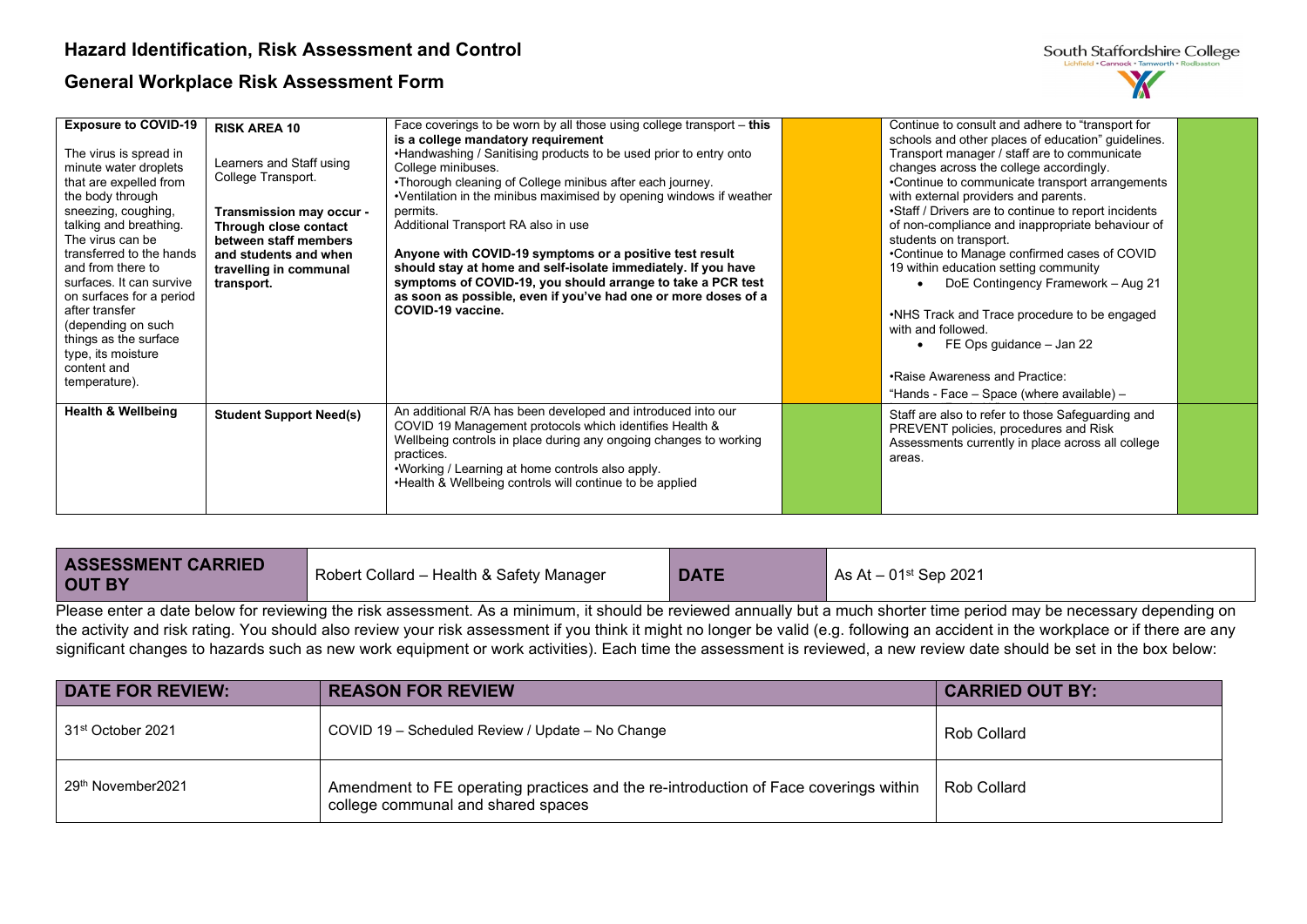| <b>Exposure to COVID-19</b><br>The virus is spread in<br>minute water droplets<br>that are expelled from<br>the body through<br>sneezing, coughing,<br>talking and breathing.<br>The virus can be<br>transferred to the hands<br>and from there to<br>surfaces. It can survive<br>on surfaces for a period<br>after transfer<br>(depending on such<br>things as the surface<br>type, its moisture<br>content and<br>temperature). | <b>RISK AREA 10</b><br>Learners and Staff using<br>College Transport.<br>Transmission may occur -<br>Through close contact<br>between staff members<br>and students and when<br>travelling in communal<br>transport. | Face coverings to be worn by all those using college transport – this<br>is a college mandatory requirement<br>•Handwashing / Sanitising products to be used prior to entry onto<br>College minibuses.<br>•Thorough cleaning of College minibus after each journey.<br>•Ventilation in the minibus maximised by opening windows if weather<br>permits.<br>Additional Transport RA also in use<br>Anyone with COVID-19 symptoms or a positive test result<br>should stay at home and self-isolate immediately. If you have<br>symptoms of COVID-19, you should arrange to take a PCR test<br>as soon as possible, even if you've had one or more doses of a<br>COVID-19 vaccine. | Continue to consult and adhere to "transport for<br>schools and other places of education" guidelines.<br>Transport manager / staff are to communicate<br>changes across the college accordingly.<br>•Continue to communicate transport arrangements<br>with external providers and parents.<br>•Staff / Drivers are to continue to report incidents<br>of non-compliance and inappropriate behaviour of<br>students on transport.<br>•Continue to Manage confirmed cases of COVID<br>19 within education setting community<br>DoE Contingency Framework - Aug 21<br>•NHS Track and Trace procedure to be engaged<br>with and followed.<br>FE Ops guidance - Jan 22<br>$\bullet$<br>•Raise Awareness and Practice:<br>"Hands - Face - Space (where available) - |  |
|-----------------------------------------------------------------------------------------------------------------------------------------------------------------------------------------------------------------------------------------------------------------------------------------------------------------------------------------------------------------------------------------------------------------------------------|----------------------------------------------------------------------------------------------------------------------------------------------------------------------------------------------------------------------|---------------------------------------------------------------------------------------------------------------------------------------------------------------------------------------------------------------------------------------------------------------------------------------------------------------------------------------------------------------------------------------------------------------------------------------------------------------------------------------------------------------------------------------------------------------------------------------------------------------------------------------------------------------------------------|-----------------------------------------------------------------------------------------------------------------------------------------------------------------------------------------------------------------------------------------------------------------------------------------------------------------------------------------------------------------------------------------------------------------------------------------------------------------------------------------------------------------------------------------------------------------------------------------------------------------------------------------------------------------------------------------------------------------------------------------------------------------|--|
| <b>Health &amp; Wellbeing</b>                                                                                                                                                                                                                                                                                                                                                                                                     | <b>Student Support Need(s)</b>                                                                                                                                                                                       | An additional R/A has been developed and introduced into our<br>COVID 19 Management protocols which identifies Health &<br>Wellbeing controls in place during any ongoing changes to working<br>practices.<br>. Working / Learning at home controls also apply.<br>. Health & Wellbeing controls will continue to be applied                                                                                                                                                                                                                                                                                                                                                    | Staff are also to refer to those Safeguarding and<br>PREVENT policies, procedures and Risk<br>Assessments currently in place across all college<br>areas.                                                                                                                                                                                                                                                                                                                                                                                                                                                                                                                                                                                                       |  |

| <b>ASSESSMENT CARRIED</b><br><b>OUT BY</b>                                                                                                                             | Robert Collard - Health & Safety Manager | <b>DATE</b> | $\vert$ As At – 01st Sep 2021                                                                                                                                                           |  |  |  |
|------------------------------------------------------------------------------------------------------------------------------------------------------------------------|------------------------------------------|-------------|-----------------------------------------------------------------------------------------------------------------------------------------------------------------------------------------|--|--|--|
| Please enter a date below for reviewing the risk assessment. As a minimum, it should be reviewed annually but a much shorter time period may be necessary depending on |                                          |             |                                                                                                                                                                                         |  |  |  |
|                                                                                                                                                                        |                                          |             | the estimity and side setima. Verrebertal else sovietnerous sigle accessoment if you think it souther leaves he valid for a following an excitant in the worked as a setifition and any |  |  |  |

the activity and risk rating. You should also review your risk assessment if you think it might no longer be valid (e.g. following an accident in the workplace or if there are any significant changes to hazards such as new work equipment or work activities). Each time the assessment is reviewed, a new review date should be set in the box below:

| <b>DATE FOR REVIEW:</b>       | <b>REASON FOR REVIEW</b>                                                                                                   | <b>CARRIED OUT BY:</b> |
|-------------------------------|----------------------------------------------------------------------------------------------------------------------------|------------------------|
| 31 <sup>st</sup> October 2021 | COVID 19 - Scheduled Review / Update - No Change                                                                           | Rob Collard            |
| 29 <sup>th</sup> November2021 | Amendment to FE operating practices and the re-introduction of Face coverings within<br>college communal and shared spaces | Rob Collard            |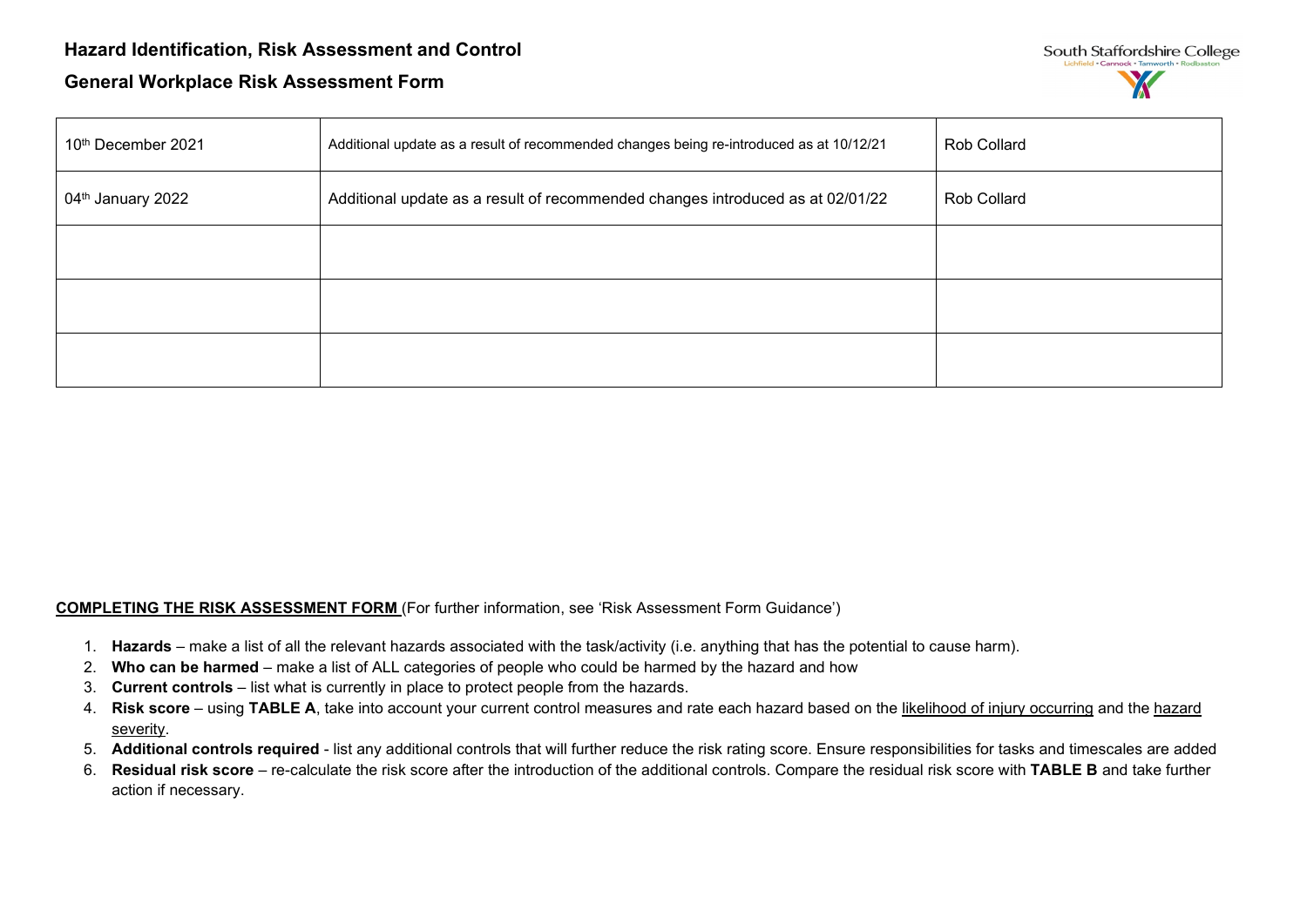| South Staffordshire College                |
|--------------------------------------------|
| Lichfield . Cannock . Tamworth . Rodbaston |
|                                            |

| 10th December 2021            | Additional update as a result of recommended changes being re-introduced as at 10/12/21 | Rob Collard |
|-------------------------------|-----------------------------------------------------------------------------------------|-------------|
| 04 <sup>th</sup> January 2022 | Additional update as a result of recommended changes introduced as at 02/01/22          | Rob Collard |
|                               |                                                                                         |             |
|                               |                                                                                         |             |
|                               |                                                                                         |             |

### **COMPLETING THE RISK ASSESSMENT FORM** (For further information, see 'Risk Assessment Form Guidance')

- 1. **Hazards** make a list of all the relevant hazards associated with the task/activity (i.e. anything that has the potential to cause harm).
- 2. **Who can be harmed** make a list of ALL categories of people who could be harmed by the hazard and how
- 3. **Current controls** list what is currently in place to protect people from the hazards.
- 4. **Risk score** using **TABLE A**, take into account your current control measures and rate each hazard based on the likelihood of injury occurring and the hazard severity.
- 5. **Additional controls required** list any additional controls that will further reduce the risk rating score. Ensure responsibilities for tasks and timescales are added
- 6. **Residual risk score** re-calculate the risk score after the introduction of the additional controls. Compare the residual risk score with **TABLE B** and take further action if necessary.